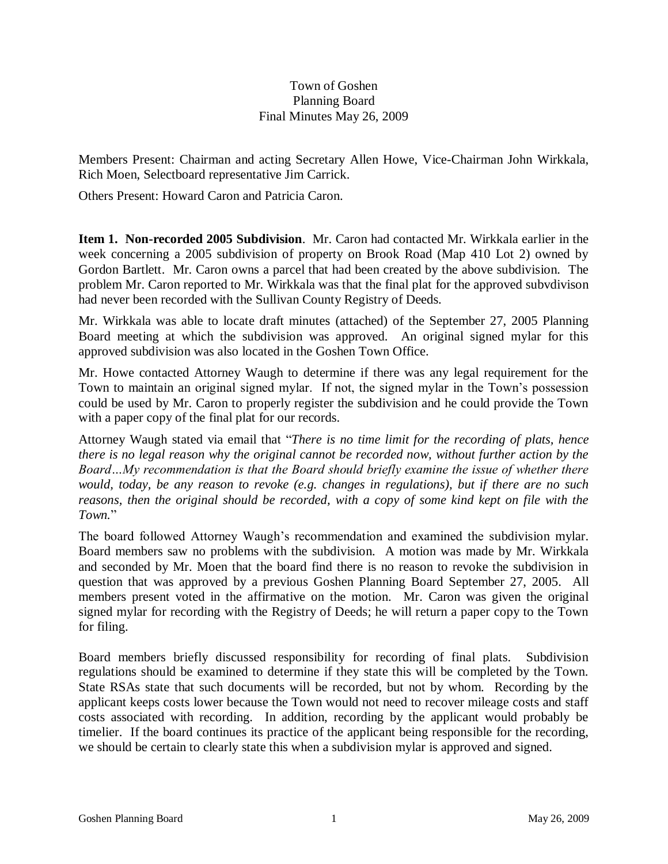# Town of Goshen Planning Board Final Minutes May 26, 2009

Members Present: Chairman and acting Secretary Allen Howe, Vice-Chairman John Wirkkala, Rich Moen, Selectboard representative Jim Carrick.

Others Present: Howard Caron and Patricia Caron.

**Item 1. Non-recorded 2005 Subdivision**. Mr. Caron had contacted Mr. Wirkkala earlier in the week concerning a 2005 subdivision of property on Brook Road (Map 410 Lot 2) owned by Gordon Bartlett. Mr. Caron owns a parcel that had been created by the above subdivision. The problem Mr. Caron reported to Mr. Wirkkala was that the final plat for the approved subvdivison had never been recorded with the Sullivan County Registry of Deeds.

Mr. Wirkkala was able to locate draft minutes (attached) of the September 27, 2005 Planning Board meeting at which the subdivision was approved. An original signed mylar for this approved subdivision was also located in the Goshen Town Office.

Mr. Howe contacted Attorney Waugh to determine if there was any legal requirement for the Town to maintain an original signed mylar. If not, the signed mylar in the Town's possession could be used by Mr. Caron to properly register the subdivision and he could provide the Town with a paper copy of the final plat for our records.

Attorney Waugh stated via email that "*There is no time limit for the recording of plats, hence there is no legal reason why the original cannot be recorded now, without further action by the Board…My recommendation is that the Board should briefly examine the issue of whether there would, today, be any reason to revoke (e.g. changes in regulations), but if there are no such reasons, then the original should be recorded, with a copy of some kind kept on file with the Town.*"

The board followed Attorney Waugh's recommendation and examined the subdivision mylar. Board members saw no problems with the subdivision. A motion was made by Mr. Wirkkala and seconded by Mr. Moen that the board find there is no reason to revoke the subdivision in question that was approved by a previous Goshen Planning Board September 27, 2005. All members present voted in the affirmative on the motion. Mr. Caron was given the original signed mylar for recording with the Registry of Deeds; he will return a paper copy to the Town for filing.

Board members briefly discussed responsibility for recording of final plats. Subdivision regulations should be examined to determine if they state this will be completed by the Town. State RSAs state that such documents will be recorded, but not by whom. Recording by the applicant keeps costs lower because the Town would not need to recover mileage costs and staff costs associated with recording. In addition, recording by the applicant would probably be timelier. If the board continues its practice of the applicant being responsible for the recording, we should be certain to clearly state this when a subdivision mylar is approved and signed.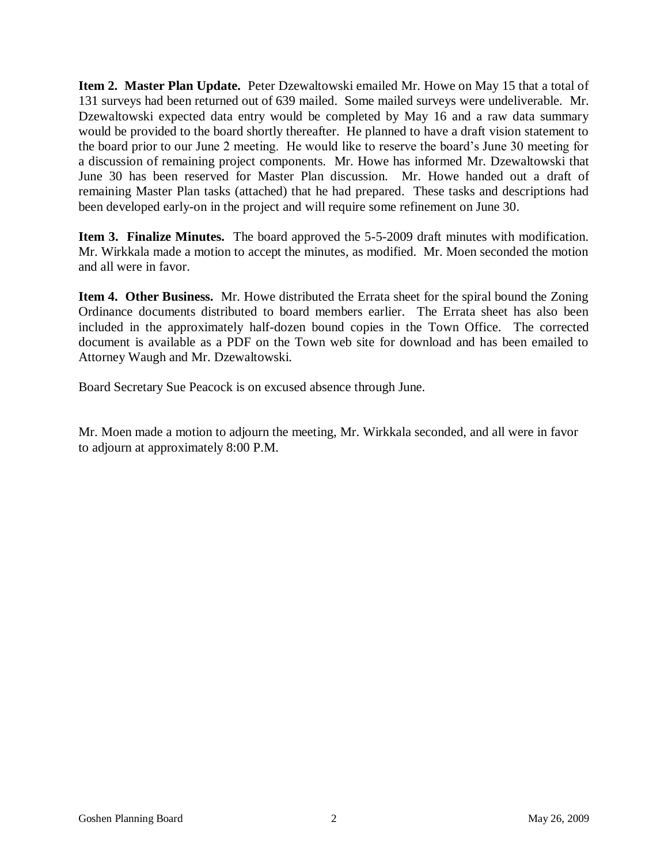**Item 2. Master Plan Update.** Peter Dzewaltowski emailed Mr. Howe on May 15 that a total of 131 surveys had been returned out of 639 mailed. Some mailed surveys were undeliverable. Mr. Dzewaltowski expected data entry would be completed by May 16 and a raw data summary would be provided to the board shortly thereafter. He planned to have a draft vision statement to the board prior to our June 2 meeting. He would like to reserve the board's June 30 meeting for a discussion of remaining project components. Mr. Howe has informed Mr. Dzewaltowski that June 30 has been reserved for Master Plan discussion. Mr. Howe handed out a draft of remaining Master Plan tasks (attached) that he had prepared. These tasks and descriptions had been developed early-on in the project and will require some refinement on June 30.

**Item 3. Finalize Minutes.** The board approved the 5-5-2009 draft minutes with modification. Mr. Wirkkala made a motion to accept the minutes, as modified. Mr. Moen seconded the motion and all were in favor.

**Item 4. Other Business.** Mr. Howe distributed the Errata sheet for the spiral bound the Zoning Ordinance documents distributed to board members earlier. The Errata sheet has also been included in the approximately half-dozen bound copies in the Town Office. The corrected document is available as a PDF on the Town web site for download and has been emailed to Attorney Waugh and Mr. Dzewaltowski.

Board Secretary Sue Peacock is on excused absence through June.

Mr. Moen made a motion to adjourn the meeting, Mr. Wirkkala seconded, and all were in favor to adjourn at approximately 8:00 P.M.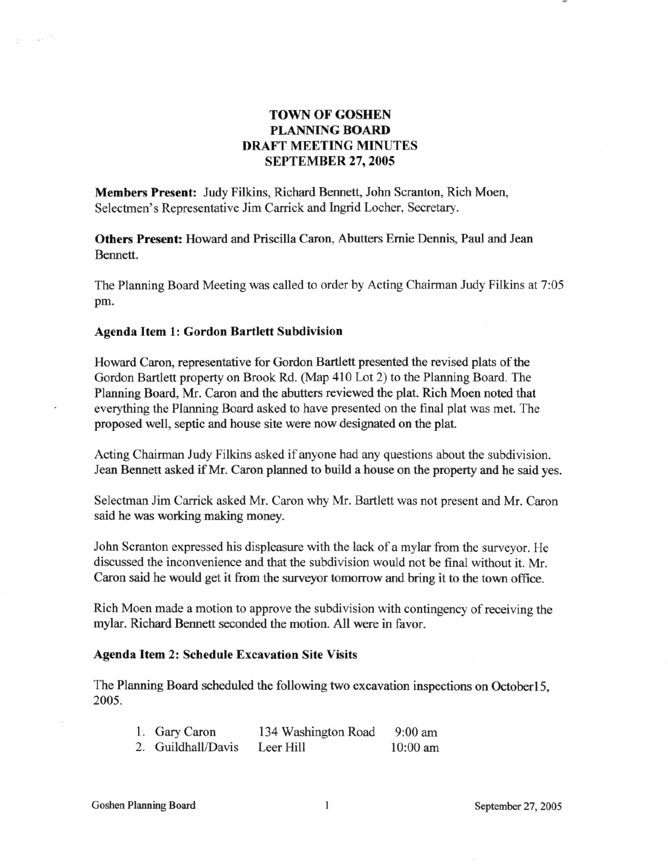# **TOWN OF GOSHEN PLANNING BOARD DRAFT MEETING MINUTES SEPTEMBER** 27, **2005**

**Members Present:** Judy Filkins, Richard Bennett, John Scranton, Rich Moen, Selectmen's Representative Jim Carrick and Ingrid Locher, Secretary.

**Others Present:** Howard and Priscilla Caron, Abutters Ernie Dennis, Paul and Jean Bennett.

The Planning Board Meeting was called to order by Acting Chairman Judy Filkins at 7:05 pm.

#### **Agenda Item 1: Gordon Bartlett Subdivision**

 $\label{eq:1} \begin{picture}(20,20)(-20,0) \put(0,0){\line(1,0){10}} \put(0,0){\line(1,0){10}} \put(0,0){\line(1,0){10}} \put(0,0){\line(1,0){10}} \put(0,0){\line(1,0){10}} \put(0,0){\line(1,0){10}} \put(0,0){\line(1,0){10}} \put(0,0){\line(1,0){10}} \put(0,0){\line(1,0){10}} \put(0,0){\line(1,0){10}} \put(0,0){\line(1,0){10}} \put(0,0){\line$ 

Howard Caron, representative for Gordon Bartlett presented the revised plats of the Gordon Bartlett property on Brook Rd. (Map 410 Lot 2) to the Planning Board. The Planning Board, Mr. Caron and the abutters reviewed the plat. Rich Moen noted that everything the Planning Board asked to have presented on the final plat was met. The proposed well, septic and house site were now designated on the plat.

Acting Chairman Judy Filkins asked if anyone had any questions about the subdivision. Jean Bennett asked if Mr. Caron planned to build a house on the property and he said yes.

Selectman Jim Carrick asked Mr. Caron why Mr. Bartlett was not present and Mr. Caron said he was working making money.

John Scranton expressed his displeasure with the lack of a mylar from the surveyor. He discussed the inconvenience and that the subdivision would not be final without it. Mr. Caron said he would get it from the surveyor tomorrow and bring it to the town office.

Rich Moen made a motion to approve the subdivision with contingency of receiving the mylar. Richard Bennett seconded the motion. All were in favor.

#### **Agenda Item 2: Schedule Excavation Site Visits**

The Planning Board scheduled the following two excavation inspections on OctoberlS, 2005.

| 1. Gary Caron      | 134 Washington Road | $9:00$ am  |
|--------------------|---------------------|------------|
| 2. Guildhall/Davis | Leer Hill           | $10:00$ am |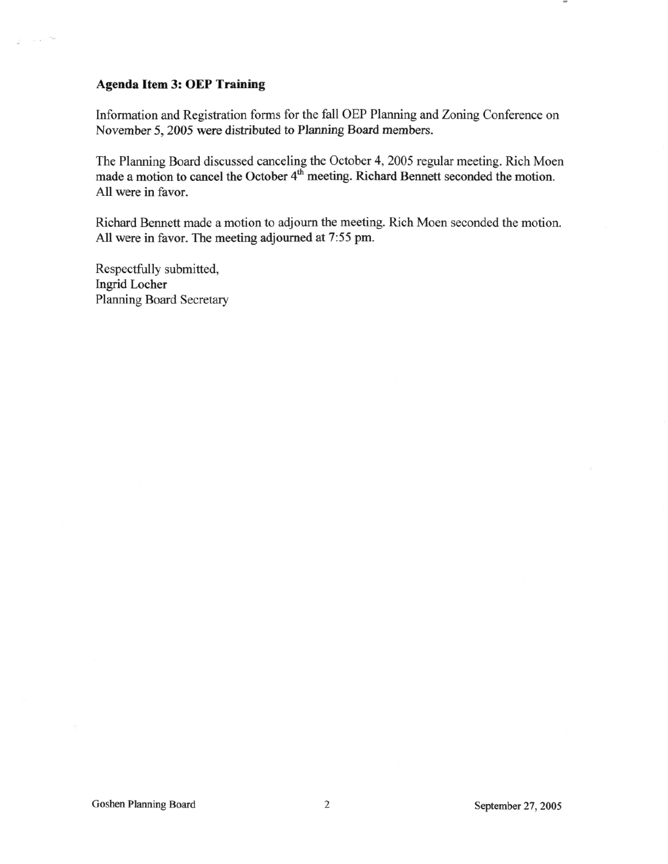## **Agenda Item 3: OEP Training**

**STATISTICS** 

Information and Registration forms for the fall OEP Planning and Zoning Conference on November 5, 2005 were distributed to Planning Board members.

The Planning Board discussed canceling the October 4, 2005 regular meeting. Rich Moen made a motion to cancel the October 4<sup>th</sup> meeting. Richard Bennett seconded the motion. All were in favor.

Richard Bennett made a motion to adjourn the meeting. Rich Moen seconded the motion. All were in favor. The meeting adjourned at 7:55 pm.

Respectfully submitted, Ingrid Locher Planning Board Secretary